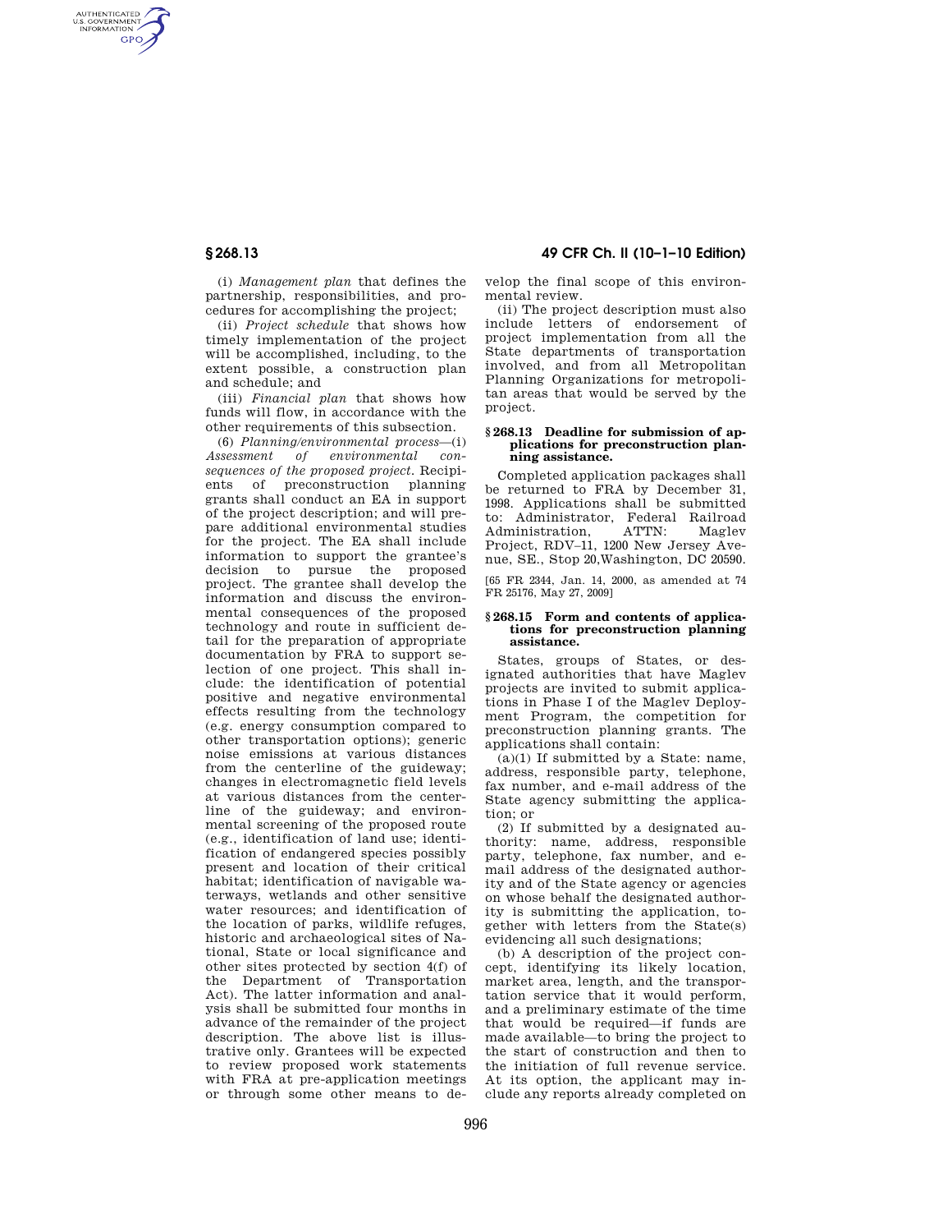AUTHENTICATED<br>U.S. GOVERNMENT<br>INFORMATION **GPO** 

**§ 268.13 49 CFR Ch. II (10–1–10 Edition)** 

(i) *Management plan* that defines the partnership, responsibilities, and procedures for accomplishing the project;

(ii) *Project schedule* that shows how timely implementation of the project will be accomplished, including, to the extent possible, a construction plan and schedule; and

(iii) *Financial plan* that shows how funds will flow, in accordance with the other requirements of this subsection.

(6) *Planning/environmental process*—(i) *Assessment of environmental consequences of the proposed project.* Recipiof preconstruction planning grants shall conduct an EA in support of the project description; and will prepare additional environmental studies for the project. The EA shall include information to support the grantee's decision to pursue the proposed project. The grantee shall develop the information and discuss the environmental consequences of the proposed technology and route in sufficient detail for the preparation of appropriate documentation by FRA to support selection of one project. This shall include: the identification of potential positive and negative environmental effects resulting from the technology (e.g. energy consumption compared to other transportation options); generic noise emissions at various distances from the centerline of the guideway; changes in electromagnetic field levels at various distances from the centerline of the guideway; and environmental screening of the proposed route (e.g., identification of land use; identification of endangered species possibly present and location of their critical habitat; identification of navigable waterways, wetlands and other sensitive water resources; and identification of the location of parks, wildlife refuges, historic and archaeological sites of National, State or local significance and other sites protected by section 4(f) of the Department of Transportation Act). The latter information and analysis shall be submitted four months in advance of the remainder of the project description. The above list is illustrative only. Grantees will be expected to review proposed work statements with FRA at pre-application meetings or through some other means to develop the final scope of this environmental review.

(ii) The project description must also include letters of endorsement of project implementation from all the State departments of transportation involved, and from all Metropolitan Planning Organizations for metropolitan areas that would be served by the project.

## **§ 268.13 Deadline for submission of applications for preconstruction planning assistance.**

Completed application packages shall be returned to FRA by December 31, 1998. Applications shall be submitted to: Administrator, Federal Railroad<br>Administration ATTN: Magley Administration ATTN: Magley Project, RDV–11, 1200 New Jersey Avenue, SE., Stop 20,Washington, DC 20590.

[65 FR 2344, Jan. 14, 2000, as amended at 74 FR 25176, May 27, 2009]

### **§ 268.15 Form and contents of applications for preconstruction planning assistance.**

States, groups of States, or designated authorities that have Maglev projects are invited to submit applications in Phase I of the Maglev Deployment Program, the competition for preconstruction planning grants. The applications shall contain:

 $(a)(1)$  If submitted by a State: name, address, responsible party, telephone, fax number, and e-mail address of the State agency submitting the application; or

(2) If submitted by a designated authority: name, address, responsible party, telephone, fax number, and email address of the designated authority and of the State agency or agencies on whose behalf the designated authority is submitting the application, together with letters from the State(s) evidencing all such designations;

(b) A description of the project concept, identifying its likely location, market area, length, and the transportation service that it would perform, and a preliminary estimate of the time that would be required—if funds are made available—to bring the project to the start of construction and then to the initiation of full revenue service. At its option, the applicant may include any reports already completed on